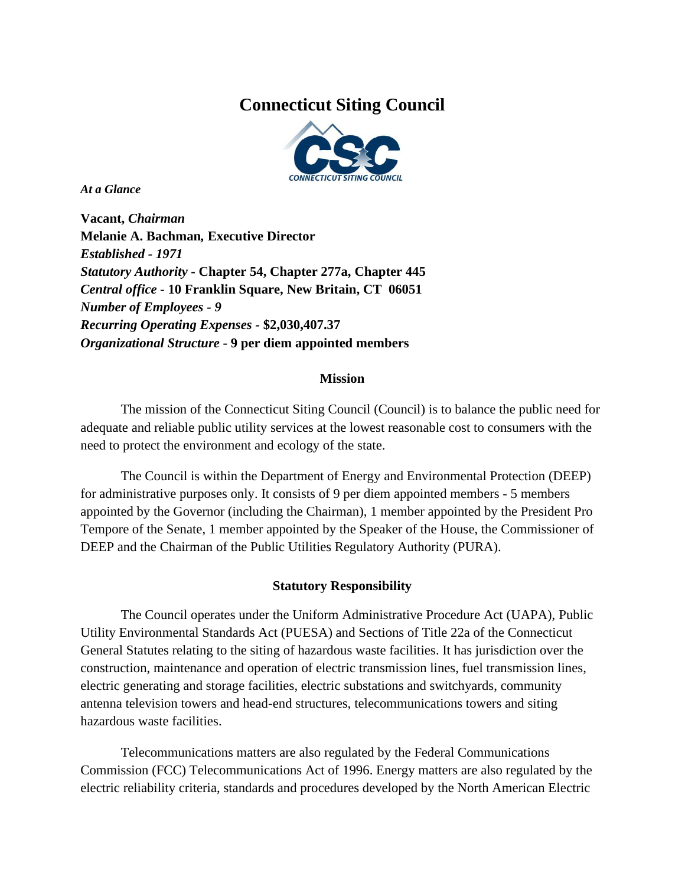# **Connecticut Siting Council**



*At a Glance* 

**Vacant,** *Chairman* **Melanie A. Bachman***,* **Executive Director** *Established - 1971 Statutory Authority* **- Chapter 54, Chapter 277a, Chapter 445** *Central office -* **10 Franklin Square, New Britain, CT 06051** *Number of Employees - 9 Recurring Operating Expenses -* **\$2,030,407.37** *Organizational Structure* **- 9 per diem appointed members**

## **Mission**

The mission of the Connecticut Siting Council (Council) is to balance the public need for adequate and reliable public utility services at the lowest reasonable cost to consumers with the need to protect the environment and ecology of the state.

The Council is within the Department of Energy and Environmental Protection (DEEP) for administrative purposes only. It consists of 9 per diem appointed members - 5 members appointed by the Governor (including the Chairman), 1 member appointed by the President Pro Tempore of the Senate, 1 member appointed by the Speaker of the House, the Commissioner of DEEP and the Chairman of the Public Utilities Regulatory Authority (PURA).

## **Statutory Responsibility**

The Council operates under the Uniform Administrative Procedure Act (UAPA), Public Utility Environmental Standards Act (PUESA) and Sections of Title 22a of the Connecticut General Statutes relating to the siting of hazardous waste facilities. It has jurisdiction over the construction, maintenance and operation of electric transmission lines, fuel transmission lines, electric generating and storage facilities, electric substations and switchyards, community antenna television towers and head-end structures, telecommunications towers and siting hazardous waste facilities.

Telecommunications matters are also regulated by the Federal Communications Commission (FCC) Telecommunications Act of 1996. Energy matters are also regulated by the electric reliability criteria, standards and procedures developed by the North American Electric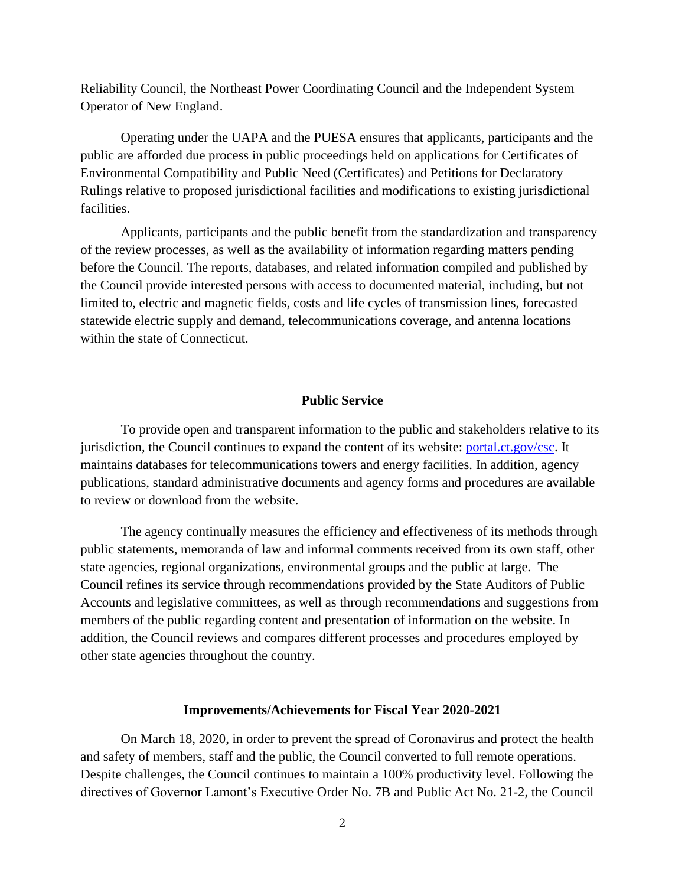Reliability Council, the Northeast Power Coordinating Council and the Independent System Operator of New England.

Operating under the UAPA and the PUESA ensures that applicants, participants and the public are afforded due process in public proceedings held on applications for Certificates of Environmental Compatibility and Public Need (Certificates) and Petitions for Declaratory Rulings relative to proposed jurisdictional facilities and modifications to existing jurisdictional facilities.

Applicants, participants and the public benefit from the standardization and transparency of the review processes, as well as the availability of information regarding matters pending before the Council. The reports, databases, and related information compiled and published by the Council provide interested persons with access to documented material, including, but not limited to, electric and magnetic fields, costs and life cycles of transmission lines, forecasted statewide electric supply and demand, telecommunications coverage, and antenna locations within the state of Connecticut.

#### **Public Service**

To provide open and transparent information to the public and stakeholders relative to its jurisdiction, the Council continues to expand the content of its website: [portal.ct.gov/csc.](http://www.ct.gov/csc) It maintains databases for telecommunications towers and energy facilities. In addition, agency publications, standard administrative documents and agency forms and procedures are available to review or download from the website.

The agency continually measures the efficiency and effectiveness of its methods through public statements, memoranda of law and informal comments received from its own staff, other state agencies, regional organizations, environmental groups and the public at large. The Council refines its service through recommendations provided by the State Auditors of Public Accounts and legislative committees, as well as through recommendations and suggestions from members of the public regarding content and presentation of information on the website. In addition, the Council reviews and compares different processes and procedures employed by other state agencies throughout the country.

#### **Improvements/Achievements for Fiscal Year 2020-2021**

On March 18, 2020, in order to prevent the spread of Coronavirus and protect the health and safety of members, staff and the public, the Council converted to full remote operations. Despite challenges, the Council continues to maintain a 100% productivity level. Following the directives of Governor Lamont's Executive Order No. 7B and Public Act No. 21-2, the Council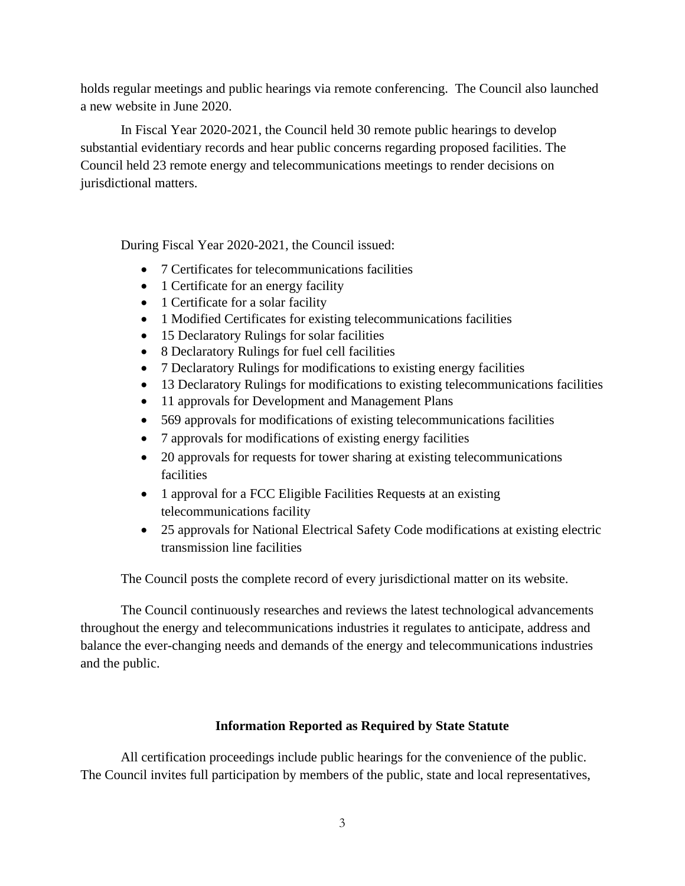holds regular meetings and public hearings via remote conferencing. The Council also launched a new website in June 2020.

In Fiscal Year 2020-2021, the Council held 30 remote public hearings to develop substantial evidentiary records and hear public concerns regarding proposed facilities. The Council held 23 remote energy and telecommunications meetings to render decisions on jurisdictional matters.

During Fiscal Year 2020-2021, the Council issued:

- 7 Certificates for telecommunications facilities
- 1 Certificate for an energy facility
- 1 Certificate for a solar facility
- 1 Modified Certificates for existing telecommunications facilities
- 15 Declaratory Rulings for solar facilities
- 8 Declaratory Rulings for fuel cell facilities
- 7 Declaratory Rulings for modifications to existing energy facilities
- 13 Declaratory Rulings for modifications to existing telecommunications facilities
- 11 approvals for Development and Management Plans
- 569 approvals for modifications of existing telecommunications facilities
- 7 approvals for modifications of existing energy facilities
- 20 approvals for requests for tower sharing at existing telecommunications facilities
- 1 approval for a FCC Eligible Facilities Requests at an existing telecommunications facility
- 25 approvals for National Electrical Safety Code modifications at existing electric transmission line facilities

The Council posts the complete record of every jurisdictional matter on its website.

The Council continuously researches and reviews the latest technological advancements throughout the energy and telecommunications industries it regulates to anticipate, address and balance the ever-changing needs and demands of the energy and telecommunications industries and the public.

# **Information Reported as Required by State Statute**

All certification proceedings include public hearings for the convenience of the public. The Council invites full participation by members of the public, state and local representatives,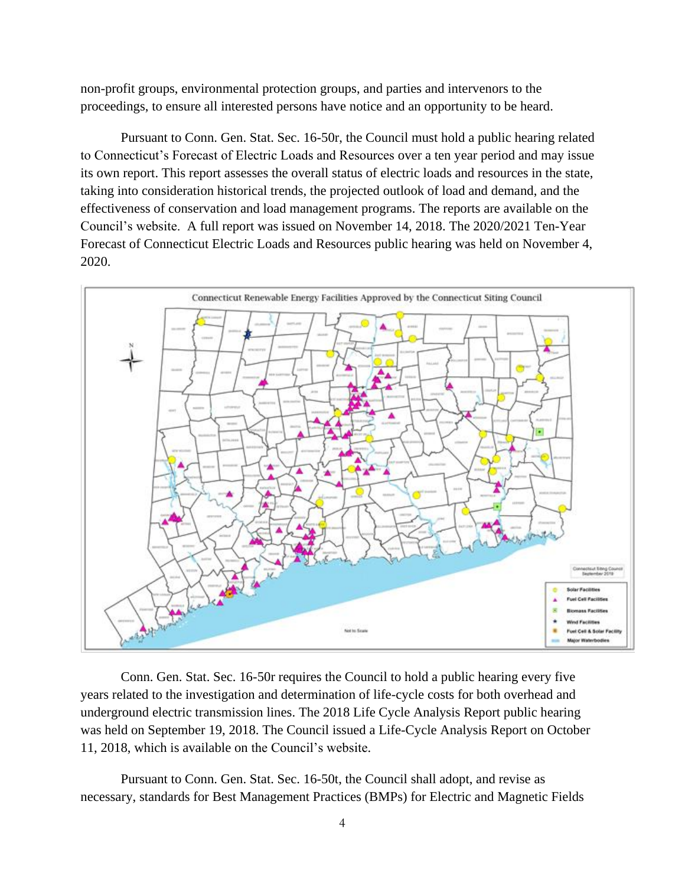non-profit groups, environmental protection groups, and parties and intervenors to the proceedings, to ensure all interested persons have notice and an opportunity to be heard.

Pursuant to Conn. Gen. Stat. Sec. 16-50r, the Council must hold a public hearing related to Connecticut's Forecast of Electric Loads and Resources over a ten year period and may issue its own report. This report assesses the overall status of electric loads and resources in the state, taking into consideration historical trends, the projected outlook of load and demand, and the effectiveness of conservation and load management programs. The reports are available on the Council's website. A full report was issued on November 14, 2018. The 2020/2021 Ten-Year Forecast of Connecticut Electric Loads and Resources public hearing was held on November 4, 2020.



Conn. Gen. Stat. Sec. 16-50r requires the Council to hold a public hearing every five years related to the investigation and determination of life-cycle costs for both overhead and underground electric transmission lines. The 2018 Life Cycle Analysis Report public hearing was held on September 19, 2018. The Council issued a Life-Cycle Analysis Report on October 11, 2018, which is available on the Council's website.

Pursuant to Conn. Gen. Stat. Sec. 16-50t, the Council shall adopt, and revise as necessary, standards for Best Management Practices (BMPs) for Electric and Magnetic Fields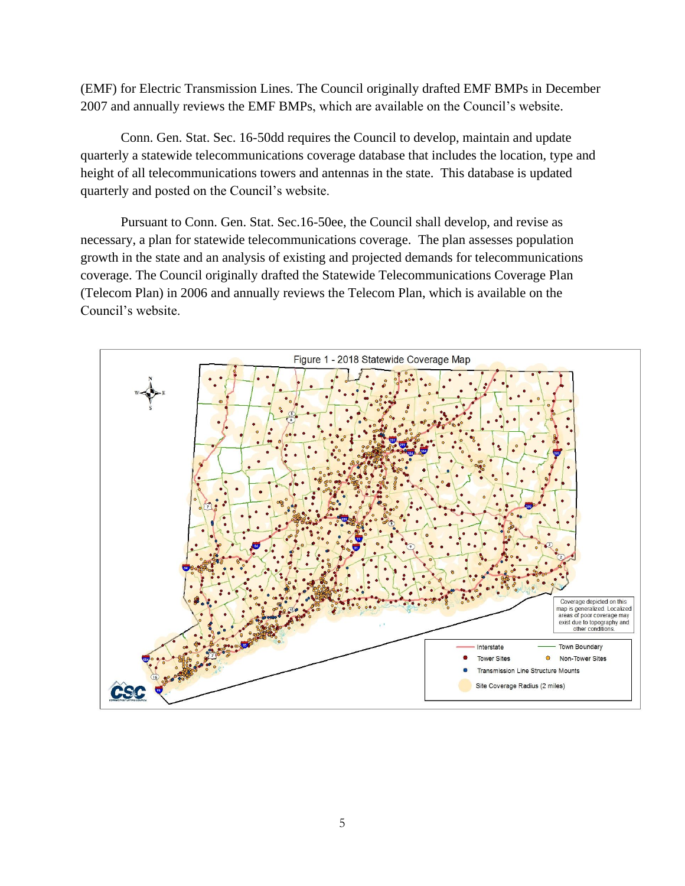(EMF) for Electric Transmission Lines. The Council originally drafted EMF BMPs in December 2007 and annually reviews the EMF BMPs, which are available on the Council's website.

Conn. Gen. Stat. Sec. 16-50dd requires the Council to develop, maintain and update quarterly a statewide telecommunications coverage database that includes the location, type and height of all telecommunications towers and antennas in the state. This database is updated quarterly and posted on the Council's website.

Pursuant to Conn. Gen. Stat. Sec.16-50ee, the Council shall develop, and revise as necessary, a plan for statewide telecommunications coverage. The plan assesses population growth in the state and an analysis of existing and projected demands for telecommunications coverage. The Council originally drafted the Statewide Telecommunications Coverage Plan (Telecom Plan) in 2006 and annually reviews the Telecom Plan, which is available on the Council's website.